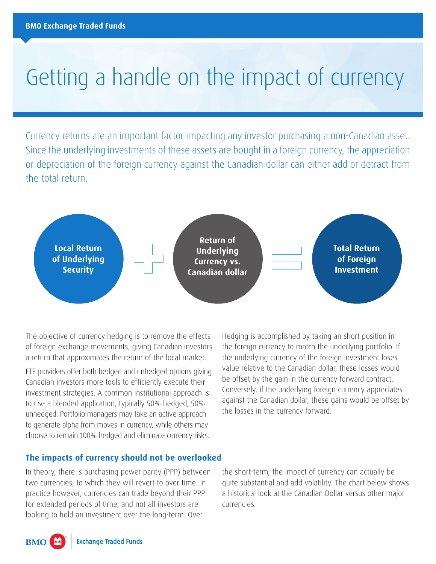# Getting a handle on the impact of currency

Currency returns are an important factor impacting any investor purchasing a non-Canadian asset. Since the underlying investments of these assets are bought in a foreign currency, the appreciation or depreciation of the foreign currency against the Canadian dollar can either add or detract from the total return.



The objective of currency hedging is to remove the effects of foreign exchange movements, giving Canadian investors a return that approximates the return of the local market.

ETF providers offer both hedged and unhedged options giving Canadian investors more tools to efficiently execute their investment strategies. A common institutional approach is to use a blended application, typically 50% hedged, 50% unhedged. Portfolio managers may take an active approach to generate alpha from moves in currency, while others may choose to remain 100% hedged and eliminate currency risks.

Hedging is accomplished by taking an short position in the foreign currency to match the underlying portfolio. If the underlying currency of the foreign investment loses value relative to the Canadian dollar, these losses would be offset by the gain in the currency forward contract. Conversely, if the underlying foreign currency appreciates against the Canadian dollar, these gains would be offset by the losses in the currency forward.

#### **The impacts of currency should not be overlooked**

In theory, there is purchasing power parity (PPP) between two currencies, to which they will revert to over time. In practice however, currencies can trade beyond their PPP for extended periods of time, and not all investors are looking to hold an investment over the long-term. Over

the short-term, the impact of currency can actually be quite substantial and add volatility. The chart below shows a historical look at the Canadian Dollar versus other major currencies.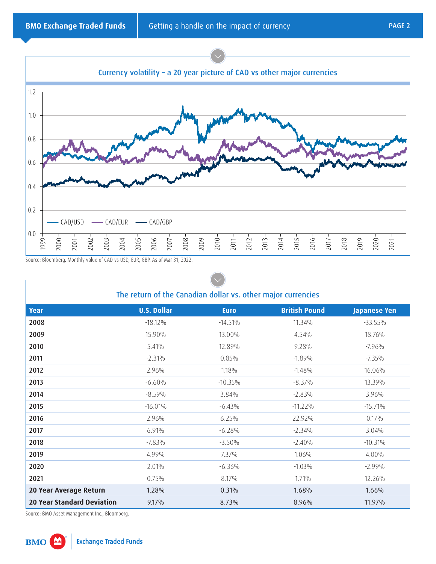

Source: Bloomberg. Monthly value of CAD vs USD, EUR, GBP. As of Mar 31, 2022.

|                                   | The return of the Canadian dollar vs. other major currencies |             |                      |              |
|-----------------------------------|--------------------------------------------------------------|-------------|----------------------|--------------|
| Year                              | <b>U.S. Dollar</b>                                           | <b>Euro</b> | <b>British Pound</b> | Japanese Yen |
| 2008                              | $-18.12\%$                                                   | $-14.51%$   | 11.34%               | $-33.55%$    |
| 2009                              | 15.90%                                                       | 13.00%      | 4.54%                | 18.76%       |
| 2010                              | 5.41%                                                        | 12.89%      | 9.28%                | $-7.96%$     |
| 2011                              | $-2.31%$                                                     | 0.85%       | $-1.89%$             | $-7.35\%$    |
| 2012                              | 2.96%                                                        | 1.18%       | $-1.48%$             | 16.06%       |
| 2013                              | $-6.60%$                                                     | $-10.35\%$  | $-8.37%$             | 13.39%       |
| 2014                              | $-8.59%$                                                     | 3.84%       | $-2.83%$             | 3.96%        |
| 2015                              | $-16.01%$                                                    | $-6.43%$    | $-11.22\%$           | $-15.71%$    |
| 2016                              | 2.96%                                                        | 6.25%       | 22.92%               | 0.17%        |
| 2017                              | 6.91%                                                        | $-6.28%$    | $-2.34%$             | 3.04%        |
| 2018                              | $-7.83%$                                                     | $-3.50%$    | $-2.40%$             | $-10.31%$    |
| 2019                              | 4.99%                                                        | 7.37%       | 1.06%                | 4.00%        |
| 2020                              | 2.01%                                                        | $-6.36%$    | $-1.03%$             | $-2.99\%$    |
| 2021                              | 0.75%                                                        | 8.17%       | 1.71%                | 12.26%       |
| 20 Year Average Return            | 1.28%                                                        | 0.31%       | 1.68%                | 1.66%        |
| <b>20 Year Standard Deviation</b> | 9.17%                                                        | 8.73%       | 8.96%                | 11.97%       |

Source: BMO Asset Management Inc., Bloomberg.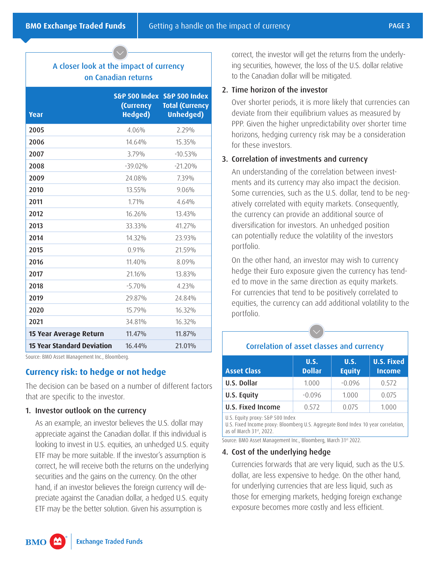## A closer look at the impact of currency on Canadian returns

| Year                              | (Currency<br><b>Hedged)</b> | S&P 500 Index S&P 500 Index<br><b>Total (Currency</b><br><b>Unhedged)</b> |
|-----------------------------------|-----------------------------|---------------------------------------------------------------------------|
| 2005                              | 4.06%                       | 2.29%                                                                     |
| 2006                              | 14.64%                      | 15.35%                                                                    |
| 2007                              | 3.79%                       | $-10.53\%$                                                                |
| 2008                              | $-39.02\%$                  | $-21.20%$                                                                 |
| 2009                              | 24.08%                      | 7.39%                                                                     |
| 2010                              | 13.55%                      | 9.06%                                                                     |
| 2011                              | 1.71%                       | 4.64%                                                                     |
| 2012                              | 16.26%                      | 13.43%                                                                    |
| 2013                              | 33.33%                      | 41.27%                                                                    |
| 2014                              | 14.32%                      | 23.93%                                                                    |
| 2015                              | 0.91%                       | 21.59%                                                                    |
| 2016                              | $11.40\%$                   | 8.09%                                                                     |
| 2017                              | 21.16%                      | 13.83%                                                                    |
| 2018                              | $-5.70%$                    | 4.23%                                                                     |
| 2019                              | 29.87%                      | 24 84%                                                                    |
| 2020                              | 15.79%                      | 16.32%                                                                    |
| 2021                              | 34.81%                      | 16.32%                                                                    |
| 15 Year Average Return            | 11.47%                      | 11.87%                                                                    |
| <b>15 Year Standard Deviation</b> | 16.44%                      | 21.01%                                                                    |

Source: BMO Asset Management Inc., Bloomberg.

### **Currency risk: to hedge or not hedge**

The decision can be based on a number of different factors that are specific to the investor.

#### 1. Investor outlook on the currency

As an example, an investor believes the U.S. dollar may appreciate against the Canadian dollar. If this individual is looking to invest in U.S. equities, an unhedged U.S. equity ETF may be more suitable. If the investor's assumption is correct, he will receive both the returns on the underlying securities and the gains on the currency. On the other hand, if an investor believes the foreign currency will depreciate against the Canadian dollar, a hedged U.S. equity ETF may be the better solution. Given his assumption is

correct, the investor will get the returns from the underlying securities, however, the loss of the U.S. dollar relative to the Canadian dollar will be mitigated.

#### 2. Time horizon of the investor

Over shorter periods, it is more likely that currencies can deviate from their equilibrium values as measured by PPP. Given the higher unpredictability over shorter time horizons, hedging currency risk may be a consideration for these investors.

#### 3. Correlation of investments and currency

An understanding of the correlation between investments and its currency may also impact the decision. Some currencies, such as the U.S. dollar, tend to be negatively correlated with equity markets. Consequently, the currency can provide an additional source of diversification for investors. An unhedged position can potentially reduce the volatility of the investors portfolio.

On the other hand, an investor may wish to currency hedge their Euro exposure given the currency has tended to move in the same direction as equity markets. For currencies that tend to be positively correlated to equities, the currency can add additional volatility to the portfolio.

# Correlation of asset classes and currency

| <b>Asset Class</b>                                                                                                                               | <b>U.S.</b><br><b>Dollar</b> | <b>U.S.</b><br><b>Equity</b> | <b>U.S. Fixed</b><br><b>Income</b> |
|--------------------------------------------------------------------------------------------------------------------------------------------------|------------------------------|------------------------------|------------------------------------|
| U.S. Dollar                                                                                                                                      | 1.000                        | $-0.096$                     | 0.572                              |
| U.S. Equity                                                                                                                                      | $-0.096$                     | 1.000                        | 0.075                              |
| <b>U.S. Fixed Income</b>                                                                                                                         | 0.572                        | 0.075                        | 1.000                              |
| U.S. Equity proxy: S&P 500 Index<br>U.S. Fixed Income proxy: Bloomberg U.S. Aggregate Bond Index 10 year correlation,<br>as of March 31st, 2022. |                              |                              |                                    |

Source: BMO Asset Management Inc., Bloomberg, March 31st 2022.

#### 4. Cost of the underlying hedge

Currencies forwards that are very liquid, such as the U.S. dollar, are less expensive to hedge. On the other hand, for underlying currencies that are less liquid, such as those for emerging markets, hedging foreign exchange exposure becomes more costly and less efficient.